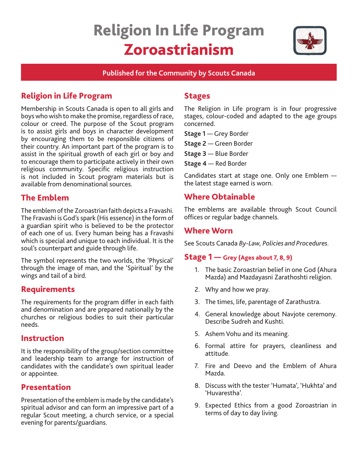# Religion In Life Program Zoroastrianism



#### **Published for the Community by Scouts Canada**

# Religion in Life Program

Membership in Scouts Canada is open to all girls and boys who wish to make the promise, regardless of race, colour or creed. The purpose of the Scout program is to assist girls and boys in character development by encouraging them to be responsible citizens of their country. An important part of the program is to assist in the spiritual growth of each girl or boy and to encourage them to participate actively in their own religious community. Specific religious instruction is not included in Scout program materials but is available from denominational sources.

# The Emblem

The emblem of the Zoroastrian faith depicts a Fravashi. The Fravashi is God's spark (His essence) in the form of a guardian spirit who is believed to be the protector of each one of us. Every human being has a Fravashi which is special and unique to each individual. It is the soul's counterpart and guide through life.

The symbol represents the two worlds, the 'Physical' through the image of man, and the 'Spiritual' by the wings and tail of a bird.

# Requirements

The requirements for the program differ in each faith and denomination and are prepared nationally by the churches or religious bodies to suit their particular needs.

#### Instruction

It is the responsibility of the group/section committee and leadership team to arrange for instruction of candidates with the candidate's own spiritual leader or appointee.

## Presentation

Presentation of the emblem is made by the candidate's spiritual advisor and can form an impressive part of a regular Scout meeting, a church service, or a special evening for parents/guardians.

## Stages

The Religion in Life program is in four progressive stages, colour-coded and adapted to the age groups concerned.

**Stage 1** — Grey Border

**Stage 2** — Green Border

- **Stage 3** Blue Border
- **Stage 4** Red Border

Candidates start at stage one. Only one Emblem the latest stage earned is worn.

# Where Obtainable

The emblems are available through Scout Council offices or regular badge channels.

#### Where Worn

See Scouts Canada *By-Law, Policies and Procedures.* 

## Stage 1 — Grey (Ages about 7, 8, 9)

- 1. The basic Zoroastrian belief in one God (Ahura Mazda) and Mazdayasni Zarathoshti religion.
- 2. Why and how we pray.
- 3. The times, life, parentage of Zarathustra.
- 4. General knowledge about Navjote ceremony. Describe Sudreh and Kushti.
- 5. Ashem Vohu and its meaning.
- 6. Formal attire for prayers, cleanliness and attitude.
- 7. Fire and Deevo and the Emblem of Ahura Mazda.
- 8. Discuss with the tester 'Humata', 'Hukhta' and 'Huvarestha'.
- 9. Expected Ethics from a good Zoroastrian in terms of day to day living.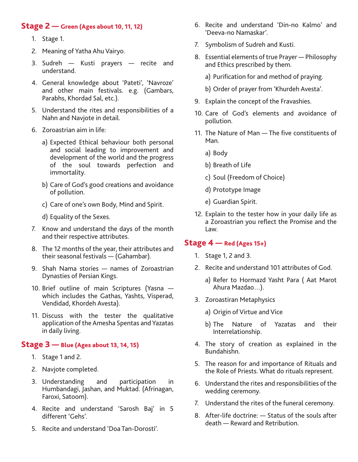#### Stage 2 — Green (Ages about 10, 11, 12)

- 1. Stage 1.
- 2. Meaning of Yatha Ahu Vairyo.
- 3. Sudreh Kusti prayers recite and understand.
- 4. General knowledge about 'Pateti', 'Navroze' and other main festivals. e.g. (Gambars, Parabhs, Khordad Sal, etc.).
- 5. Understand the rites and responsibilities of a Nahn and Navjote in detail.
- 6. Zoroastrian aim in life:
	- a) Expected Ethical behaviour both personal and social leading to improvement and development of the world and the progress of the soul towards perfection and immortality.
	- b) Care of God's good creations and avoidance of pollution.
	- c) Care of one's own Body, Mind and Spirit.
	- d) Equality of the Sexes.
- 7. Know and understand the days of the month and their respective attributes.
- 8. The 12 months of the year, their attributes and their seasonal festivals — (Gahambar).
- 9. Shah Nama stories names of Zoroastrian Dynasties of Persian Kings.
- 10. Brief outline of main Scriptures (Yasna which includes the Gathas, Yashts, Visperad, Vendidad, Khordeh Avesta).
- 11. Discuss with the tester the qualitative application of the Amesha Spentas and Yazatas in daily living.

#### Stage 3 — Blue (Ages about 13, 14, 15)

- 1. Stage 1 and 2.
- 2. Navjote completed.
- 3. Understanding and participation in Humbandagi, Jashan, and Muktad. (Afrinagan, Faroxi, Satoom).
- 4. Recite and understand 'Sarosh Baj' in 5 different 'Gehs'.
- 5. Recite and understand 'Doa Tan-Dorosti'.
- 6. Recite and understand 'Din-no Kalmo' and 'Deeva-no Namaskar'.
- 7. Symbolism of Sudreh and Kusti.
- 8. Essential elements of true Prayer Philosophy and Ethics prescribed by them.
	- a) Purification for and method of praying.
	- b) Order of prayer from 'Khurdeh Avesta'.
- 9. Explain the concept of the Fravashies.
- 10. Care of God's elements and avoidance of pollution.
- 11. The Nature of Man The five constituents of Man.
	- a) Body
	- b) Breath of Life
	- c) Soul (Freedom of Choice)
	- d) Prototype Image
	- e) Guardian Spirit.
- 12. Explain to the tester how in your daily life as a Zoroastrian you reflect the Promise and the Law.

#### $Stage 4 - Red (Ages 15+)$

- 1. Stage 1, 2 and 3.
- 2. Recite and understand 101 attributes of God.
	- a) Refer to Hormazd Yasht Para ( Aat Marot Ahura Mazdao…).
- 3. Zoroastiran Metaphysics
	- a) Origin of Virtue and Vice
	- b) The Nature of Yazatas and their Interrelationship.
- 4. The story of creation as explained in the Bundahishn.
- 5. The reason for and importance of Rituals and the Role of Priests. What do rituals represent.
- 6. Understand the rites and responsibilities of the wedding ceremony.
- 7. Understand the rites of the funeral ceremony.
- 8. After-life doctrine: Status of the souls after death — Reward and Retribution.